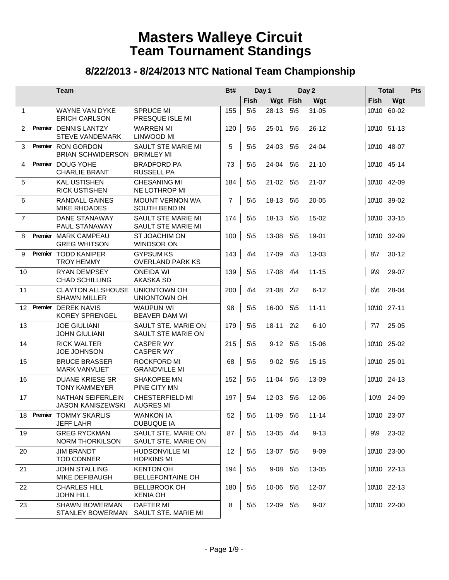|                 | Team                                                 |                                                 |                |                 | Day 1         | Day 2           |           |             | <b>Total</b>            |  |
|-----------------|------------------------------------------------------|-------------------------------------------------|----------------|-----------------|---------------|-----------------|-----------|-------------|-------------------------|--|
|                 |                                                      |                                                 |                | Fish            |               | Wgt Fish        | Wgt       | <b>Fish</b> | Wgt                     |  |
| $\mathbf{1}$    | WAYNE VAN DYKE<br><b>ERICH CARLSON</b>               | <b>SPRUCE MI</b><br>PRESQUE ISLE MI             | 155            | $5\sqrt{5}$     | 28-13         | $5\overline{5}$ | $31 - 05$ | 10\10       | 60-02                   |  |
| 2               | Premier DENNIS LANTZY<br><b>STEVE VANDEMARK</b>      | <b>WARREN MI</b><br>LINWOOD MI                  | 120            | $5\sqrt{5}$     | $25-01$ 5\5   |                 | $26 - 12$ |             | 10\10 51-13             |  |
| 3               | Premier RON GORDON<br><b>BRIAN SCHWIDERSON</b>       | <b>SAULT STE MARIE MI</b><br><b>BRIMLEY MI</b>  | 5              | $5\sqrt{5}$     | $24-03$ 5\5   |                 | $24 - 04$ |             | 10\10 48-07             |  |
| 4               | Premier DOUG YOHE<br><b>CHARLIE BRANT</b>            | <b>BRADFORD PA</b><br><b>RUSSELL PA</b>         | 73             | $5\sqrt{5}$     | $24 - 04$ 5\5 |                 | $21 - 10$ |             | $10\backslash 10$ 45-14 |  |
| 5               | <b>KAL USTISHEN</b><br><b>RICK USTISHEN</b>          | <b>CHESANING MI</b><br>NE LOTHROP MI            | 184            | $5\sqrt{5}$     | $21 - 02$ 5\5 |                 | $21-07$   |             | 10\10 42-09             |  |
| 6               | RANDALL GAINES<br><b>MIKE RHOADES</b>                | <b>MOUNT VERNON WA</b><br>SOUTH BEND IN         | $\overline{7}$ | $5\sqrt{5}$     | $18-13$ 5\5   |                 | $20 - 05$ |             | 10\10 39-02             |  |
| $\overline{7}$  | <b>DANE STANAWAY</b><br><b>PAUL STANAWAY</b>         | SAULT STE MARIE MI<br><b>SAULT STE MARIE MI</b> | 174            | $5\overline{5}$ | $18-13$ 5\5   |                 | $15-02$   |             | 10\10 33-15             |  |
| 8               | Premier MARK CAMPEAU<br><b>GREG WHITSON</b>          | ST JOACHIM ON<br>WINDSOR ON                     | 100            | $5\sqrt{5}$     | $13-08$ 5\5   |                 | $19-01$   |             | 10\10 32-09             |  |
| 9               | Premier TODD KANIPER<br><b>TROY HEMMY</b>            | <b>GYPSUM KS</b><br><b>OVERLAND PARK KS</b>     | 143            | $4\overline{4}$ | 17-09 4\3     |                 | $13 - 03$ | $8\sqrt{7}$ | $30-12$                 |  |
| 10              | RYAN DEMPSEY<br><b>CHAD SCHILLING</b>                | <b>ONEIDA WI</b><br>AKASKA SD                   | 139            | $5\sqrt{5}$     | $17-08$ 4\4   |                 | $11 - 15$ | $9\$        | $29-07$                 |  |
| 11              | <b>CLAYTON ALLSHOUSE</b><br><b>SHAWN MILLER</b>      | <b>UNIONTOWN OH</b><br>UNIONTOWN OH             | 200            | $4\sqrt{4}$     | $21 - 08$ 2\2 |                 | $6-12$    | 6/6         | $28 - 04$               |  |
| 12 <sup>1</sup> | Premier DEREK NAVIS<br><b>KOREY SPRENGEL</b>         | <b>WAUPUN WI</b><br><b>BEAVER DAM WI</b>        | 98             | $5\sqrt{5}$     | $16-00$ 5\5   |                 | $11 - 11$ |             | 10\10 27-11             |  |
| 13              | <b>JOE GIULIANI</b><br><b>JOHN GIULIANI</b>          | SAULT STE. MARIE ON<br>SAULT STE MARIE ON       | 179            | $5\sqrt{5}$     | $18-11$ 2\2   |                 | $6 - 10$  | $7\sqrt{7}$ | $25-05$                 |  |
| 14              | <b>RICK WALTER</b><br><b>JOE JOHNSON</b>             | <b>CASPER WY</b><br><b>CASPER WY</b>            | 215            | $5\sqrt{5}$     | $9-12$ 5\5    |                 | $15 - 06$ |             | 10\10 25-02             |  |
| 15              | <b>BRUCE BRASSER</b><br><b>MARK VANVLIET</b>         | <b>ROCKFORD MI</b><br><b>GRANDVILLE MI</b>      | 68             | $5\sqrt{5}$     | $9-02$ 5\5    |                 | $15 - 15$ |             | 10\10 25-01             |  |
| 16              | <b>DUANE KRIESE SR</b><br><b>TONY KAMMEYER</b>       | SHAKOPEE MN<br>PINE CITY MN                     | 152            | $5\sqrt{5}$     | $11-04$ 5\5   |                 | 13-09     |             | 10\10 24-13             |  |
| 17              | <b>NATHAN SEIFERLEIN</b><br><b>JASON KANISZEWSKI</b> | <b>CHESTERFIELD MI</b><br><b>AUGRES MI</b>      | 197            | $5\backslash 4$ | $12-03$ 5\5   |                 | $12 - 06$ |             | 10\9 24-09              |  |
|                 | 18 Premier TOMMY SKARLIS<br><b>JEFF LAHR</b>         | <b>WANKON IA</b><br><b>DUBUQUE IA</b>           | 52             | $5\sqrt{5}$     | $11-09$ 5\5   |                 | $11 - 14$ |             | 10\10 23-07             |  |
| 19              | <b>GREG RYCKMAN</b><br><b>NORM THORKILSON</b>        | SAULT STE. MARIE ON<br>SAULT STE. MARIE ON      | 87             | $5\sqrt{5}$     | $13-05$ 4\4   |                 | $9-13$    | $9\sqrt{9}$ | $23-02$                 |  |
| 20              | <b>JIM BRANDT</b><br><b>TOD CONNER</b>               | <b>HUDSONVILLE MI</b><br><b>HOPKINS MI</b>      | 12             | $5\sqrt{5}$     | $13-07$ 5\5   |                 | $9 - 09$  |             | 10\10 23-00             |  |
| 21              | <b>JOHN STALLING</b><br>MIKE DEFIBAUGH               | <b>KENTON OH</b><br>BELLEFONTAINE OH            | 194            | $5\sqrt{5}$     | $9-08$ 5\5    |                 | $13 - 05$ |             | 10\10 22-13             |  |
| 22              | <b>CHARLES HILL</b><br><b>JOHN HILL</b>              | <b>BELLBROOK OH</b><br><b>XENIA OH</b>          | 180            | $5\overline{5}$ | $10-06$ 5\5   |                 | $12-07$   |             | 10\10 22-13             |  |
| 23              | <b>SHAWN BOWERMAN</b><br><b>STANLEY BOWERMAN</b>     | <b>DAFTER MI</b><br>SAULT STE. MARIE MI         | 8              | $5\backslash 5$ | $12-09$ 5\5   |                 | $9-07$    |             | 10\10 22-00             |  |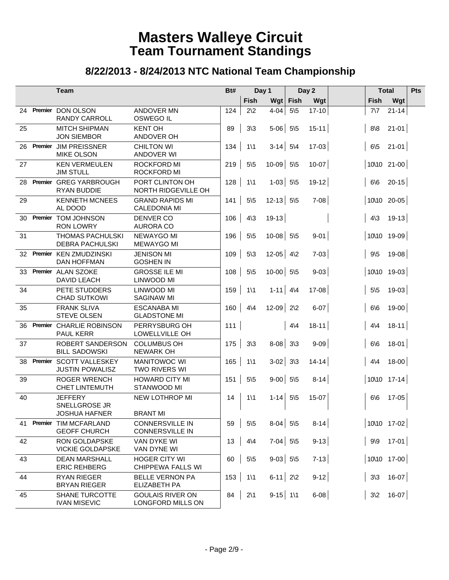|    |            | <b>Team</b>                                             |                                                  | Bt# |                 | Day 1       |             | Day 2     |             | <b>Total</b>            | Pts |
|----|------------|---------------------------------------------------------|--------------------------------------------------|-----|-----------------|-------------|-------------|-----------|-------------|-------------------------|-----|
|    |            |                                                         |                                                  |     | Fish            |             | Wgt   Fish  | Wgt       | <b>Fish</b> | Wgt                     |     |
|    | 24 Premier | DON OLSON<br><b>RANDY CARROLL</b>                       | <b>ANDOVER MN</b><br><b>OSWEGO IL</b>            | 124 | $2\sqrt{2}$     | $4 - 04$    | $5\sqrt{5}$ | $17 - 10$ | $7\sqrt{7}$ | $21 - 14$               |     |
| 25 |            | <b>MITCH SHIPMAN</b><br><b>JON SIEMBOR</b>              | <b>KENT OH</b><br>ANDOVER OH                     | 89  | $3\sqrt{3}$     | $5-06$ 5\5  |             | $15 - 11$ | 8/8         | $21 - 01$               |     |
| 26 | Premier    | <b>JIM PREISSNER</b><br><b>MIKE OLSON</b>               | <b>CHILTON WI</b><br>ANDOVER WI                  | 134 | $1\backslash 1$ | $3-14$ 5\4  |             | $17-03$   | $6\sqrt{5}$ | $21-01$                 |     |
| 27 |            | <b>KEN VERMEULEN</b><br><b>JIM STULL</b>                | <b>ROCKFORD MI</b><br><b>ROCKFORD MI</b>         | 219 | $5\sqrt{5}$     | $10-09$ 5\5 |             | $10 - 07$ |             | 10\10 21-00             |     |
| 28 |            | Premier GREG YARBROUGH<br><b>RYAN BUDDIE</b>            | PORT CLINTON OH<br>NORTH RIDGEVILLE OH           | 128 | $1\backslash 1$ | $1-03$ 5\5  |             | $19-12$   | 6/6         | $20 - 15$               |     |
| 29 |            | <b>KENNETH MCNEES</b><br>AL DOOD                        | <b>GRAND RAPIDS MI</b><br><b>CALEDONIA MI</b>    | 141 | $5\sqrt{5}$     | $12-13$ 5\5 |             | $7 - 08$  |             | 10\10 20-05             |     |
| 30 |            | Premier TOM JOHNSON<br><b>RON LOWRY</b>                 | <b>DENVER CO</b><br><b>AURORA CO</b>             | 106 | $4\sqrt{3}$     | $19-13$     |             |           | $4\sqrt{3}$ | $19-13$                 |     |
| 31 |            | <b>THOMAS PACHULSKI</b><br><b>DEBRA PACHULSKI</b>       | NEWAYGO MI<br><b>MEWAYGO MI</b>                  | 196 | $5\overline{5}$ | $10-08$ 5\5 |             | $9 - 01$  |             | 10\10 19-09             |     |
| 32 |            | Premier KEN ZMUDZINSKI<br><b>DAN HOFFMAN</b>            | <b>JENISON MI</b><br><b>GOSHEN IN</b>            | 109 | $5\sqrt{3}$     | $12-05$ 4\2 |             | $7-03$    | $9\sqrt{5}$ | $19-08$                 |     |
| 33 |            | Premier ALAN SZOKE<br><b>DAVID LEACH</b>                | <b>GROSSE ILE MI</b><br><b>LINWOOD MI</b>        | 108 | $5\overline{5}$ | $10-00$ 5\5 |             | $9 - 03$  |             | 10\10 19-03             |     |
| 34 |            | PETE STUDDERS<br><b>CHAD SUTKOWI</b>                    | LINWOOD MI<br><b>SAGINAW MI</b>                  | 159 | $1\backslash 1$ | $1-11$ 4 4  |             | 17-08     | $5\sqrt{5}$ | $19-03$                 |     |
| 35 |            | <b>FRANK SLIVA</b><br><b>STEVE OLSEN</b>                | <b>ESCANABA MI</b><br><b>GLADSTONE MI</b>        | 160 | $4\sqrt{4}$     | $12 - 09$   | $2\sqrt{2}$ | $6 - 07$  | 6/6         | $19-00$                 |     |
| 36 | Premier    | <b>CHARLIE ROBINSON</b><br><b>PAUL KERR</b>             | PERRYSBURG OH<br>LOWELLVILLE OH                  | 111 |                 |             | $4\sqrt{4}$ | $18 - 11$ | $4\sqrt{4}$ | $18-11$                 |     |
| 37 |            | ROBERT SANDERSON<br><b>BILL SADOWSKI</b>                | <b>COLUMBUS OH</b><br><b>NEWARK OH</b>           | 175 | $3\sqrt{3}$     | $8-08$ 3\3  |             | $9 - 09$  | 6/6         | $18-01$                 |     |
| 38 | Premier    | <b>SCOTT VALLESKEY</b><br><b>JUSTIN POWALISZ</b>        | <b>MANITOWOC WI</b><br>TWO RIVERS WI             | 165 | $1\backslash 1$ | $3-02$ 3\3  |             | $14 - 14$ | $4\sqrt{4}$ | $18 - 00$               |     |
| 39 |            | <b>ROGER WRENCH</b><br><b>CHET LINTEMUTH</b>            | <b>HOWARD CITY MI</b><br>STANWOOD MI             | 151 | $5\sqrt{5}$     | $9-00$ 5\5  |             | $8-14$    |             | $10\backslash 10$ 17-14 |     |
| 40 |            | <b>JEFFERY</b><br>SNELLGROSE JR<br><b>JOSHUA HAFNER</b> | NEW LOTHROP MI<br><b>BRANT MI</b>                | 14  | $1\backslash 1$ | $1 - 14$    | $5\sqrt{5}$ | 15-07     | 6/6         | 17-05                   |     |
| 41 | Premier    | TIM MCFARLAND<br><b>GEOFF CHURCH</b>                    | <b>CONNERSVILLE IN</b><br><b>CONNERSVILLE IN</b> | 59  | $5\sqrt{5}$     | $8-04$ 5\5  |             | $8 - 14$  |             | 10\10 17-02             |     |
| 42 |            | <b>RON GOLDAPSKE</b><br><b>VICKIE GOLDAPSKE</b>         | VAN DYKE WI<br>VAN DYNE WI                       | 13  | $4\sqrt{4}$     | $7-04$ 5\5  |             | $9-13$    |             | $9\sqrt{9}$ 17-01       |     |
| 43 |            | <b>DEAN MARSHALL</b><br><b>ERIC REHBERG</b>             | <b>HOGER CITY WI</b><br>CHIPPEWA FALLS WI        | 60  | $5\sqrt{5}$     | $9-03$ 5\5  |             | $7-13$    |             | 10\10 17-00             |     |
| 44 |            | <b>RYAN RIEGER</b><br><b>BRYAN RIEGER</b>               | <b>BELLE VERNON PA</b><br>ELIZABETH PA           |     | $153$ 1\1       | $6-11$ 2\2  |             | $9-12$    |             | $3\vert 3$ 16-07        |     |
| 45 |            | <b>SHANE TURCOTTE</b><br><b>IVAN MISEVIC</b>            | <b>GOULAIS RIVER ON</b><br>LONGFORD MILLS ON     | 84  | $2\backslash1$  | $9-15$ 1\1  |             | $6 - 08$  | $3\sqrt{2}$ | $16-07$                 |     |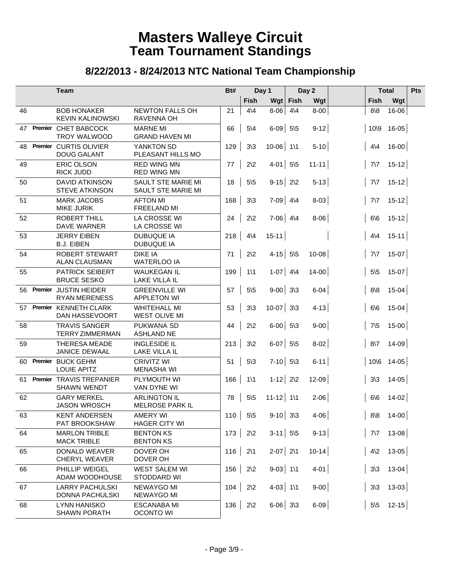|    | Team                                           | Bt#                                           |     |                 | Day 1         |             | Day 2     |                | <b>Total</b>  |  |
|----|------------------------------------------------|-----------------------------------------------|-----|-----------------|---------------|-------------|-----------|----------------|---------------|--|
|    |                                                |                                               |     | <b>Fish</b>     |               | Wgt Fish    | Wgt       | <b>Fish</b>    | Wgt           |  |
| 46 | <b>BOB HONAKER</b><br><b>KEVIN KALINOWSKI</b>  | <b>NEWTON FALLS OH</b><br><b>RAVENNA OH</b>   | 21  | $4\sqrt{4}$     | 8-06          | $4\sqrt{4}$ | $8 - 00$  | 8/8            | 16-06         |  |
| 47 | Premier CHET BABCOCK<br>TROY WALWOOD           | <b>MARNE MI</b><br><b>GRAND HAVEN MI</b>      | 66  | $5\backslash 4$ | $6-09$ 5\5    |             | $9-12$    |                | 10\9 16-05    |  |
| 48 | Premier CURTIS OLIVIER<br><b>DOUG GALANT</b>   | YANKTON SD<br>PLEASANT HILLS MO               | 129 | $3\sqrt{3}$     | 10-06 1\1     |             | $5 - 10$  | $4\sqrt{4}$    | $16-00$       |  |
| 49 | ERIC OLSON<br><b>RICK JUDD</b>                 | <b>RED WING MN</b><br><b>RED WING MN</b>      | 77  | $2\sqrt{2}$     | $4-01$ 5\5    |             | $11 - 11$ | $7\sqrt{7}$    | $15-12$       |  |
| 50 | <b>DAVID ATKINSON</b><br><b>STEVE ATKINSON</b> | SAULT STE MARIE MI<br>SAULT STE MARIE MI      | 18  | $5\sqrt{5}$     | $9-15$ 2\2    |             | $5 - 13$  | $7\sqrt{7}$    | $15-12$       |  |
| 51 | <b>MARK JACOBS</b><br><b>MIKE JURIK</b>        | <b>AFTON MI</b><br>FREELAND MI                | 168 | $3\sqrt{3}$     | $7-09$ 4\4    |             | $8 - 03$  | $7\sqrt{7}$    | $15-12$       |  |
| 52 | ROBERT THILL<br>DAVE WARNER                    | LA CROSSE WI<br>LA CROSSE WI                  | 24  | $2\sqrt{2}$     | $7-06$ 4\4    |             | $8 - 06$  | 6/6            | $15-12$       |  |
| 53 | <b>JERRY EIBEN</b><br><b>B.J. EIBEN</b>        | <b>DUBUQUE IA</b><br><b>DUBUQUE IA</b>        | 218 | $4\overline{4}$ | $15 - 11$     |             |           | $4\sqrt{4}$    | $15-11$       |  |
| 54 | <b>ROBERT STEWART</b><br><b>ALAN CLAUSMAN</b>  | <b>DIKE IA</b><br><b>WATERLOO IA</b>          | 71  | $2\sqrt{2}$     | $4-15$ 5\5    |             | $10 - 08$ | $7\sqrt{7}$    | $15-07$       |  |
| 55 | <b>PATRICK SEIBERT</b><br><b>BRUCE SESKO</b>   | <b>WAUKEGAN IL</b><br>LAKE VILLA IL           | 199 | $1\backslash 1$ | $1-07$ 4\4    |             | $14-00$   | $5\sqrt{5}$    | $15-07$       |  |
| 56 | Premier JUSTIN HEIDER<br><b>RYAN MERENESS</b>  | <b>GREENVILLE WI</b><br><b>APPLETON WI</b>    | 57  | $5\sqrt{5}$     | $9-00$ 3\3    |             | $6-04$    | 8/8            | $15 - 04$     |  |
| 57 | Premier KENNETH CLARK<br>DAN HASSEVOORT        | <b>WHITEHALL MI</b><br><b>WEST OLIVE MI</b>   | 53  | $3\sqrt{3}$     | $10-07$ 3\3   |             | $4 - 13$  | 6/6            | $15 - 04$     |  |
| 58 | <b>TRAVIS SANGER</b><br><b>TERRY ZIMMERMAN</b> | PUKWANA SD<br><b>ASHLAND NE</b>               | 44  | $2\sqrt{2}$     | $6-00$ 5\3    |             | $9-00$    | $7\frac{5}{5}$ | $15-00$       |  |
| 59 | <b>THERESA MEADE</b><br><b>JANICE DEWAAL</b>   | <b>INGLESIDE IL</b><br>LAKE VILLA IL          | 213 | $3\sqrt{2}$     | $6-07$ 5\5    |             | $8 - 02$  | $8\sqrt{7}$    | $14 - 09$     |  |
| 60 | Premier BUCK GEHM<br><b>LOUIE APITZ</b>        | <b>CRIVITZ WI</b><br><b>MENASHA WI</b>        | 51  | $5\sqrt{3}$     | $7-10$ 5\3    |             | $6 - 11$  |                | $10\,6$ 14-05 |  |
| 61 | Premier TRAVIS TREPANIER<br><b>SHAWN WENDT</b> | PLYMOUTH WI<br>VAN DYNE WI                    | 166 | $1\backslash 1$ | $1-12$ 2\2    |             | 12-09     | $3\sqrt{3}$    | $14 - 05$     |  |
| 62 | <b>GARY MERKEL</b><br><b>JASON WROSCH</b>      | <b>ARLINGTON IL</b><br><b>MELROSE PARK IL</b> | 78  | $5\sqrt{5}$     | $11 - 12$ 1\1 |             | $2 - 06$  | 6/6            | $14 - 02$     |  |
| 63 | <b>KENT ANDERSEN</b><br>PAT BROOKSHAW          | AMERY WI<br><b>HAGER CITY WI</b>              | 110 | $5\sqrt{5}$     | $9-10$ 3\3    |             | $4 - 06$  | 8/8            | $14 - 00$     |  |
| 64 | <b>MARLON TRIBLE</b><br><b>MACK TRIBLE</b>     | <b>BENTON KS</b><br><b>BENTON KS</b>          | 173 | $2\sqrt{2}$     | $3-11$ 5\5    |             | $9-13$    | $7\sqrt{7}$    | $13 - 08$     |  |
| 65 | <b>DONALD WEAVER</b><br><b>CHERYL WEAVER</b>   | DOVER OH<br>DOVER OH                          | 116 | $2\backslash 1$ | $2-07$ 2\1    |             | $10 - 14$ | $4\sqrt{2}$    | $13 - 05$     |  |
| 66 | PHILLIP WEIGEL<br>ADAM WOODHOUSE               | <b>WEST SALEM WI</b><br>STODDARD WI           | 156 | $2\sqrt{2}$     | $9-03$ 1\1    |             | $4 - 01$  | $3\sqrt{3}$    | $13-04$       |  |
| 67 | <b>LARRY PACHULSKI</b><br>DONNA PACHULSKI      | <b>NEWAYGO MI</b><br><b>NEWAYGO MI</b>        | 104 | $2\sqrt{2}$     | $4-03$ 1\1    |             | $9 - 00$  | $3\sqrt{3}$    | $13 - 03$     |  |
| 68 | <b>LYNN HANISKO</b><br><b>SHAWN PORATH</b>     | <b>ESCANABA MI</b><br><b>OCONTO WI</b>        | 136 | $2\sqrt{2}$     | $6-06$ 3\3    |             | $6-09$    | $5\sqrt{5}$    | $12 - 15$     |  |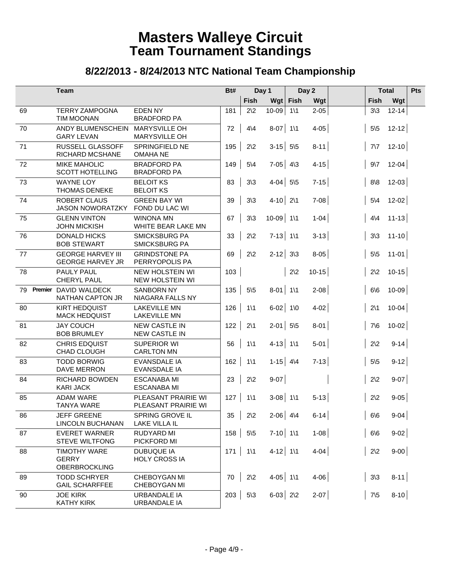|    |         | <b>Team</b>                                                 |                                              | Bt# |                 | Day 1        |                 | Day 2     |                 | <b>Total</b> | Pts |
|----|---------|-------------------------------------------------------------|----------------------------------------------|-----|-----------------|--------------|-----------------|-----------|-----------------|--------------|-----|
|    |         |                                                             |                                              |     | Fish            |              | Wgt Fish        | Wgt       | <b>Fish</b>     | Wgt          |     |
| 69 |         | <b>TERRY ZAMPOGNA</b><br><b>TIM MOONAN</b>                  | <b>EDENNY</b><br><b>BRADFORD PA</b>          | 181 | $2\sqrt{2}$     | 10-09        | $1\backslash 1$ | $2 - 05$  | $3\sqrt{3}$     | $12 - 14$    |     |
| 70 |         | ANDY BLUMENSCHEIN<br><b>GARY LEVAN</b>                      | MARYSVILLE OH<br><b>MARYSVILLE OH</b>        | 72  | $4\sqrt{4}$     | $8-07$ 1\1   |                 | $4 - 05$  | $5\backslash 5$ | $12 - 12$    |     |
| 71 |         | <b>RUSSELL GLASSOFF</b><br><b>RICHARD MCSHANE</b>           | SPRINGFIELD NE<br><b>OMAHA NE</b>            | 195 | $2\sqrt{2}$     | $3-15$ 5\5   |                 | $8 - 11$  | $7\sqrt{7}$     | $12 - 10$    |     |
| 72 |         | <b>MIKE MAHOLIC</b><br><b>SCOTT HOTELLING</b>               | <b>BRADFORD PA</b><br><b>BRADFORD PA</b>     | 149 | $5\backslash 4$ | $7-05$ 4\3   |                 | $4 - 15$  | $9\sqrt{7}$     | $12 - 04$    |     |
| 73 |         | <b>WAYNE LOY</b><br><b>THOMAS DENEKE</b>                    | <b>BELOIT KS</b><br><b>BELOIT KS</b>         | 83  | $3\sqrt{3}$     | $4-04$ 5\5   |                 | $7-15$    | 8/8             | $12 - 03$    |     |
| 74 |         | <b>ROBERT CLAUS</b><br><b>JASON NOWORATZKY</b>              | <b>GREEN BAY WI</b><br>FOND DU LAC WI        | 39  | $3\sqrt{3}$     | $4-10$ 2\1   |                 | $7 - 08$  | $5\backslash 4$ | $12 - 02$    |     |
| 75 |         | <b>GLENN VINTON</b><br><b>JOHN MICKISH</b>                  | <b>WINONA MN</b><br>WHITE BEAR LAKE MN       | 67  | $3\sqrt{3}$     | $10-09$ 1\1  |                 | $1-04$    | $4\sqrt{4}$     | $11 - 13$    |     |
| 76 |         | <b>DONALD HICKS</b><br><b>BOB STEWART</b>                   | <b>SMICKSBURG PA</b><br><b>SMICKSBURG PA</b> | 33  | $2\sqrt{2}$     | $7-13$ 1\1   |                 | $3 - 13$  | $3\sqrt{3}$     | $11 - 10$    |     |
| 77 |         | <b>GEORGE HARVEY III</b><br><b>GEORGE HARVEY JR</b>         | <b>GRINDSTONE PA</b><br>PERRYOPOLIS PA       | 69  | $2\sqrt{2}$     | $2 - 12$ 3\3 |                 | $8 - 05$  | $5\sqrt{5}$     | $11 - 01$    |     |
| 78 |         | PAULY PAUL<br>CHERYL PAUL                                   | NEW HOLSTEIN WI<br>NEW HOLSTEIN WI           | 103 |                 |              | $2\sqrt{2}$     | $10 - 15$ | $2\sqrt{2}$     | $10-15$      |     |
| 79 | Premier | <b>DAVID WALDECK</b><br><b>NATHAN CAPTON JR</b>             | <b>SANBORN NY</b><br>NIAGARA FALLS NY        | 135 | $5\sqrt{5}$     | $8-01$ 1\1   |                 | $2 - 08$  | 6/6             | $10 - 09$    |     |
| 80 |         | <b>KIRT HEDQUIST</b><br><b>MACK HEDQUIST</b>                | <b>LAKEVILLE MN</b><br><b>LAKEVILLE MN</b>   | 126 | $1\backslash 1$ | $6-02$ 1\0   |                 | $4-02$    | $2\backslash 1$ | $10-04$      |     |
| 81 |         | <b>JAY COUCH</b><br><b>BOB BRUMLEY</b>                      | <b>NEW CASTLE IN</b><br><b>NEW CASTLE IN</b> | 122 | $2\backslash 1$ | $2-01$ 5\5   |                 | $8-01$    | $7\$ 6          | $10 - 02$    |     |
| 82 |         | <b>CHRIS EDQUIST</b><br>CHAD CLOUGH                         | <b>SUPERIOR WI</b><br><b>CARLTON MN</b>      | 56  | $1\backslash 1$ | $4-13$ 1\1   |                 | $5 - 01$  | $2\sqrt{2}$     | $9-14$       |     |
| 83 |         | <b>TODD BORWIG</b><br>DAVE MERRON                           | <b>EVANSDALE IA</b><br>EVANSDALE IA          | 162 | $1\backslash 1$ | $1-15$ 4\4   |                 | $7-13$    | $5\sqrt{5}$     | $9-12$       |     |
| 84 |         | <b>RICHARD BOWDEN</b><br><b>KARI JACK</b>                   | <b>ESCANABA MI</b><br><b>ESCANABA MI</b>     | 23  | $2\sqrt{2}$     | $9 - 07$     |                 |           | $2\sqrt{2}$     | $9-07$       |     |
| 85 |         | <b>ADAM WARE</b><br><b>TANYA WARE</b>                       | PLEASANT PRAIRIE WI<br>PLEASANT PRAIRIE WI   | 127 | $1\backslash 1$ | $3-08$ 1\1   |                 | $5 - 13$  | $2\sqrt{2}$     | $9 - 05$     |     |
| 86 |         | <b>JEFF GREENE</b><br>LINCOLN BUCHANAN                      | SPRING GROVE IL<br>LAKE VILLA IL             | 35  | $2\sqrt{2}$     | $2-06$ 4\4   |                 | $6 - 14$  | 6/6             | $9 - 04$     |     |
| 87 |         | <b>EVERET WARNER</b><br><b>STEVE WILTFONG</b>               | <b>RUDYARD MI</b><br>PICKFORD MI             | 158 | $5\sqrt{5}$     | $7-10$ 1\1   |                 | $1 - 08$  | 6/6             | $9-02$       |     |
| 88 |         | <b>TIMOTHY WARE</b><br><b>GERRY</b><br><b>OBERBROCKLING</b> | <b>DUBUQUE IA</b><br><b>HOLY CROSS IA</b>    | 171 | $1\backslash 1$ | $4-12$ 1\1   |                 | $4 - 04$  | $2\sqrt{2}$     | $9-00$       |     |
| 89 |         | <b>TODD SCHRYER</b><br><b>GAIL SCHARFFEE</b>                | CHEBOYGAN MI<br>CHEBOYGAN MI                 | 70  | $2\sqrt{2}$     | $4-05$ 1\1   |                 | $4 - 06$  | $3\sqrt{3}$     | $8 - 11$     |     |
| 90 |         | <b>JOE KIRK</b><br><b>KATHY KIRK</b>                        | URBANDALE IA<br><b>URBANDALE IA</b>          | 203 | $5\sqrt{3}$     | $6-03$ 2\2   |                 | $2 - 07$  | $7\frac{5}{5}$  | $8-10$       |     |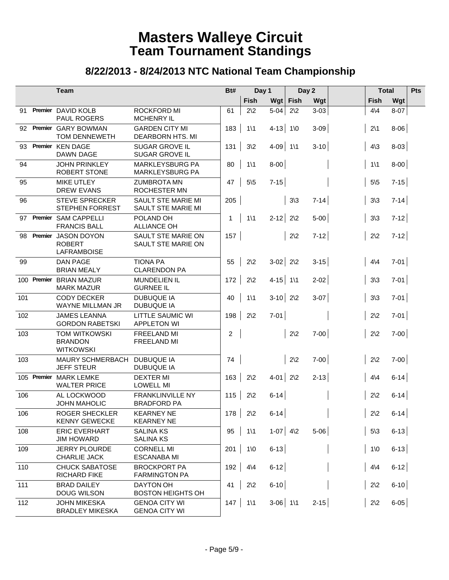|     |         | Team                                                       |                                                 | Bt#            | Day 1           |            | Day 2           |          | <b>Total</b>    |          | Pts |
|-----|---------|------------------------------------------------------------|-------------------------------------------------|----------------|-----------------|------------|-----------------|----------|-----------------|----------|-----|
|     |         |                                                            |                                                 |                | Fish            |            | Wgt Fish        | Wgt      | <b>Fish</b>     | Wgt      |     |
| 91  |         | Premier DAVID KOLB<br><b>PAUL ROGERS</b>                   | ROCKFORD MI<br><b>MCHENRY IL</b>                | 61             | $2\sqrt{2}$     | $5 - 04$   | $2\sqrt{2}$     | $3 - 03$ | $4\sqrt{4}$     | $8 - 07$ |     |
| 92  |         | Premier GARY BOWMAN<br>TOM DENNEWETH                       | <b>GARDEN CITY MI</b><br>DEARBORN HTS. MI       | 183            | $1\backslash 1$ | $4-13$ 1\0 |                 | $3 - 09$ | $2\backslash1$  | $8-06$   |     |
| 93  |         | Premier KEN DAGE<br>DAWN DAGE                              | <b>SUGAR GROVE IL</b><br>SUGAR GROVE IL         | 131            | $3\sqrt{2}$     | $4-09$ 1\1 |                 | $3 - 10$ | $4\sqrt{3}$     | $8-03$   |     |
| 94  |         | <b>JOHN PRINKLEY</b><br>ROBERT STONE                       | MARKLEYSBURG PA<br>MARKLEYSBURG PA              | 80             | $1\backslash 1$ | $8 - 00$   |                 |          | $1\backslash 1$ | $8-00$   |     |
| 95  |         | <b>MIKE UTLEY</b><br><b>DREW EVANS</b>                     | <b>ZUMBROTA MN</b><br>ROCHESTER MN              | 47             | $5\sqrt{5}$     | $7 - 15$   |                 |          | $5\sqrt{5}$     | $7-15$   |     |
| 96  |         | <b>STEVE SPRECKER</b><br><b>STEPHEN FORREST</b>            | <b>SAULT STE MARIE MI</b><br>SAULT STE MARIE MI | 205            |                 |            | $3\overline{3}$ | $7 - 14$ | $3\sqrt{3}$     | $7 - 14$ |     |
| 97  |         | Premier SAM CAPPELLI<br><b>FRANCIS BALL</b>                | POLAND OH<br><b>ALLIANCE OH</b>                 | $\mathbf{1}$   | $1\backslash 1$ | $2 - 12$   | $2\sqrt{2}$     | $5 - 00$ | $3\sqrt{3}$     | $7-12$   |     |
| 98  | Premier | <b>JASON DOYON</b><br><b>ROBERT</b><br><b>LAFRAMBOISE</b>  | SAULT STE MARIE ON<br>SAULT STE MARIE ON        | 157            |                 |            | $2\sqrt{2}$     | $7-12$   | $2\sqrt{2}$     | $7-12$   |     |
| 99  |         | <b>DAN PAGE</b><br><b>BRIAN MEALY</b>                      | <b>TIONA PA</b><br><b>CLARENDON PA</b>          | 55             | $2\sqrt{2}$     | $3-02$ 2\2 |                 | $3 - 15$ | $4\sqrt{4}$     | $7-01$   |     |
|     |         | 100 Premier BRIAN MAZUR<br><b>MARK MAZUR</b>               | <b>MUNDELIEN IL</b><br><b>GURNEE IL</b>         | 172            | $2\sqrt{2}$     | $4-15$ 1\1 |                 | $2 - 02$ | $3\sqrt{3}$     | $7-01$   |     |
| 101 |         | <b>CODY DECKER</b><br>WAYNE MILLMAN JR                     | <b>DUBUQUE IA</b><br><b>DUBUQUE IA</b>          | 40             | $1\backslash 1$ | $3-10$ 2\2 |                 | $3-07$   | $3\sqrt{3}$     | $7-01$   |     |
| 102 |         | <b>JAMES LEANNA</b><br><b>GORDON RABETSKI</b>              | LITTLE SAUMIC WI<br><b>APPLETON WI</b>          | 198            | $2\sqrt{2}$     | $7 - 01$   |                 |          | $2\sqrt{2}$     | $7-01$   |     |
| 103 |         | <b>TOM WITKOWSKI</b><br><b>BRANDON</b><br><b>WITKOWSKI</b> | <b>FREELAND MI</b><br>FREELAND MI               | $\overline{c}$ |                 |            | $2\sqrt{2}$     | $7-00$   | $2\sqrt{2}$     | $7-00$   |     |
| 103 |         | MAURY SCHMERBACH<br><b>JEFF STEUR</b>                      | <b>DUBUQUE IA</b><br><b>DUBUQUE IA</b>          | 74             |                 |            | $2\sqrt{2}$     | $7-00$   | $2\sqrt{2}$     | $7-00$   |     |
|     |         | 105 Premier MARK LEMKE<br><b>WALTER PRICE</b>              | <b>DEXTER MI</b><br><b>LOWELL MI</b>            | 163            | $2\sqrt{2}$     | $4-01$ 2\2 |                 | $2 - 13$ | $4\sqrt{4}$     | $6 - 14$ |     |
| 106 |         | AL LOCKWOOD<br><b>JOHN MAHOLIC</b>                         | <b>FRANKLINVILLE NY</b><br><b>BRADFORD PA</b>   | 115            | $2\sqrt{2}$     | $6 - 14$   |                 |          | $2\sqrt{2}$     | $6-14$   |     |
| 106 |         | ROGER SHECKLER<br><b>KENNY GEWECKE</b>                     | <b>KEARNEY NE</b><br><b>KEARNEY NE</b>          | 178            | $2\sqrt{2}$     | $6-14$     |                 |          | $2\sqrt{2}$     | $6-14$   |     |
| 108 |         | <b>ERIC EVERHART</b><br><b>JIM HOWARD</b>                  | <b>SALINA KS</b><br><b>SALINA KS</b>            | 95             | $1\backslash 1$ | $1-07$ 4\2 |                 | $5-06$   | $5\sqrt{3}$     | $6-13$   |     |
| 109 |         | <b>JERRY PLOURDE</b><br>CHARLIE JACK                       | <b>CORNELL MI</b><br><b>ESCANABA MI</b>         | 201            | $1\sqrt{0}$     | $6-13$     |                 |          | $1\,0$          | $6-13$   |     |
| 110 |         | <b>CHUCK SABATOSE</b><br><b>RICHARD FIKE</b>               | <b>BROCKPORT PA</b><br><b>FARMINGTON PA</b>     | 192            | $4\sqrt{4}$     | $6 - 12$   |                 |          | $4\sqrt{4}$     | $6-12$   |     |
| 111 |         | <b>BRAD DAILEY</b><br>DOUG WILSON                          | <b>DAYTON OH</b><br><b>BOSTON HEIGHTS OH</b>    | 41             | $2\sqrt{2}$     | $6-10$     |                 |          | $2\sqrt{2}$     | $6-10$   |     |
| 112 |         | <b>JOHN MIKESKA</b><br><b>BRADLEY MIKESKA</b>              | <b>GENOA CITY WI</b><br><b>GENOA CITY WI</b>    | 147            | $1\backslash 1$ | $3-06$ 1\1 |                 | $2 - 15$ | $2\sqrt{2}$     | $6-05$   |     |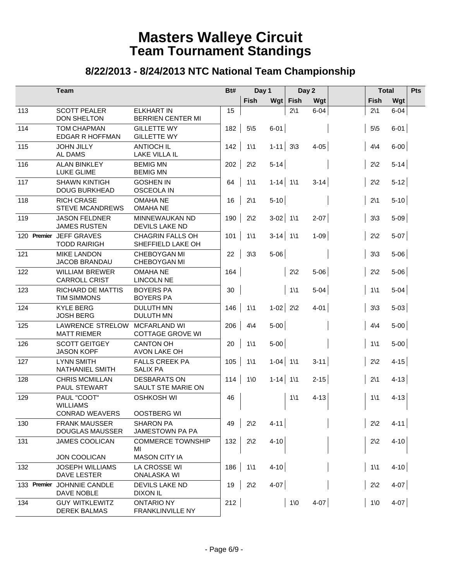|             | <b>Team</b>                                    | Bt#                                           |     |                 | Day 1        |                 | Day 2    | <b>Total</b> |                 | Pts      |  |
|-------------|------------------------------------------------|-----------------------------------------------|-----|-----------------|--------------|-----------------|----------|--------------|-----------------|----------|--|
|             |                                                |                                               |     | Fish            |              | Wgt Fish        | Wgt      |              | Fish            | Wgt      |  |
| 113         | <b>SCOTT PEALER</b><br>DON SHELTON             | <b>ELKHART IN</b><br><b>BERRIEN CENTER MI</b> | 15  |                 |              | $2\backslash 1$ | $6 - 04$ |              | $2\backslash 1$ | $6 - 04$ |  |
| 114         | <b>TOM CHAPMAN</b><br><b>EDGAR R HOFFMAN</b>   | <b>GILLETTE WY</b><br><b>GILLETTE WY</b>      | 182 | $5\sqrt{5}$     | $6-01$       |                 |          |              | $5\sqrt{5}$     | $6 - 01$ |  |
| 115         | <b>JOHN JILLY</b><br><b>AL DAMS</b>            | <b>ANTIOCH IL</b><br><b>LAKE VILLA IL</b>     | 142 | $1\backslash 1$ | $1 - 11$ 3\3 |                 | $4 - 05$ |              | $4\sqrt{4}$     | $6-00$   |  |
| 116         | <b>ALAN BINKLEY</b><br><b>LUKE GLIME</b>       | <b>BEMIG MN</b><br><b>BEMIG MN</b>            | 202 | $2\sqrt{2}$     | $5 - 14$     |                 |          |              | $2\sqrt{2}$     | $5-14$   |  |
| 117         | <b>SHAWN KINTIGH</b><br><b>DOUG BURKHEAD</b>   | <b>GOSHEN IN</b><br><b>OSCEOLA IN</b>         | 64  | $1\backslash 1$ | $1 - 14$ 1\1 |                 | $3 - 14$ |              | $2\sqrt{2}$     | $5-12$   |  |
| 118         | <b>RICH CRASE</b><br><b>STEVE MCANDREWS</b>    | <b>OMAHANE</b><br><b>OMAHA NE</b>             | 16  | $2\backslash 1$ | $5-10$       |                 |          |              | $2\backslash 1$ | $5-10$   |  |
| 119         | <b>JASON FELDNER</b><br><b>JAMES RUSTEN</b>    | MINNEWAUKAN ND<br><b>DEVILS LAKE ND</b>       | 190 | $2\sqrt{2}$     | $3-02$ 1\1   |                 | $2 - 07$ |              | $3\sqrt{3}$     | $5-09$   |  |
| 120 Premier | <b>JEFF GRAVES</b><br><b>TODD RAIRIGH</b>      | <b>CHAGRIN FALLS OH</b><br>SHEFFIELD LAKE OH  | 101 | $1\backslash 1$ | $3-14$ 1\1   |                 | $1 - 09$ |              | $2\sqrt{2}$     | $5-07$   |  |
| 121         | <b>MIKE LANDON</b><br>JACOB BRANDAU            | CHEBOYGAN MI<br><b>CHEBOYGAN MI</b>           | 22  | $3\sqrt{3}$     | $5 - 06$     |                 |          |              | $3\sqrt{3}$     | $5-06$   |  |
| 122         | <b>WILLIAM BREWER</b><br><b>CARROLL CRIST</b>  | <b>OMAHANE</b><br><b>LINCOLN NE</b>           | 164 |                 |              | $2\sqrt{2}$     | $5 - 06$ |              | $2\sqrt{2}$     | $5-06$   |  |
| 123         | <b>RICHARD DE MATTIS</b><br><b>TIM SIMMONS</b> | <b>BOYERS PA</b><br><b>BOYERS PA</b>          | 30  |                 |              | $1\backslash 1$ | $5 - 04$ |              | $1\backslash 1$ | $5-04$   |  |
| 124         | <b>KYLE BERG</b><br><b>JOSH BERG</b>           | <b>DULUTH MN</b><br>DULUTH MN                 | 146 | $1\backslash 1$ | $1-02$ 2\2   |                 | $4 - 01$ |              | $3\sqrt{3}$     | $5-03$   |  |
| 125         | LAWRENCE STRELOW<br><b>MATT RIEMER</b>         | MCFARLAND WI<br><b>COTTAGE GROVE WI</b>       | 206 | $4\sqrt{4}$     | $5-00$       |                 |          |              | $4\sqrt{4}$     | $5-00$   |  |
| 126         | <b>SCOTT GEITGEY</b><br><b>JASON KOPF</b>      | <b>CANTON OH</b><br>AVON LAKE OH              | 20  | $1\backslash 1$ | $5-00$       |                 |          |              | $1\backslash 1$ | $5-00$   |  |
| 127         | <b>LYNN SMITH</b><br><b>NATHANIEL SMITH</b>    | <b>FALLS CREEK PA</b><br><b>SALIX PA</b>      | 105 | $1\backslash 1$ | $1-04$ 1\1   |                 | $3 - 11$ |              | $2\sqrt{2}$     | $4 - 15$ |  |
| 128         | <b>CHRIS MCMILLAN</b><br>PAUL STEWART          | <b>DESBARATS ON</b><br>SAULT STE MARIE ON     | 114 | $1\sqrt{0}$     | $1-14$ 1\1   |                 | $2 - 15$ |              | $2\backslash 1$ | $4 - 13$ |  |
| 129         | PAUL "COOT"<br><b>WILLIAMS</b>                 | <b>OSHKOSH WI</b>                             | 46  |                 |              | $1\backslash 1$ | $4 - 13$ |              | $1\backslash 1$ | $4 - 13$ |  |
|             | <b>CONRAD WEAVERS</b>                          | <b>OOSTBERG WI</b>                            |     |                 |              |                 |          |              |                 |          |  |
| 130         | <b>FRANK MAUSSER</b><br><b>DOUGLAS MAUSSER</b> | <b>SHARON PA</b><br>JAMESTOWN PA PA           | 49  | $2\sqrt{2}$     | $4 - 11$     |                 |          |              | $2\sqrt{2}$     | $4 - 11$ |  |
| 131         | <b>JAMES COOLICAN</b>                          | <b>COMMERCE TOWNSHIP</b><br>MI                | 132 | $2\sqrt{2}$     | $4 - 10$     |                 |          |              | $2\sqrt{2}$     | $4 - 10$ |  |
|             | <b>JON COOLICAN</b>                            | <b>MASON CITY IA</b>                          |     |                 |              |                 |          |              |                 |          |  |
| 132         | <b>JOSEPH WILLIAMS</b><br><b>DAVE LESTER</b>   | LA CROSSE WI<br><b>ONALASKA WI</b>            | 186 | $1\backslash 1$ | $4 - 10$     |                 |          |              | $1\backslash 1$ | $4 - 10$ |  |
| 133 Premier | JOHNNIE CANDLE<br>DAVE NOBLE                   | DEVILS LAKE ND<br><b>DIXON IL</b>             | 19  | $2\sqrt{2}$     | $4 - 07$     |                 |          |              | $2\sqrt{2}$     | $4-07$   |  |
| 134         | <b>GUY WITKLEWITZ</b><br><b>DEREK BALMAS</b>   | <b>ONTARIO NY</b><br>FRANKLINVILLE NY         | 212 |                 |              | $1\,0$          | $4-07$   |              | $1\,0$          | $4-07$   |  |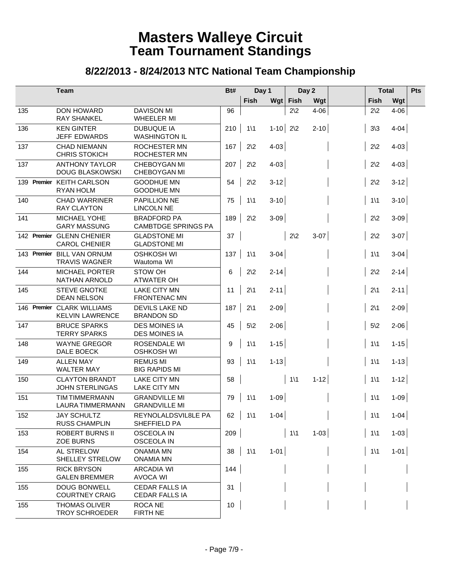|             | <b>Team</b>                                       | Bt#                                              |     | Day 1           |          | Day 2           |          |                 | <b>Total</b> | Pts |
|-------------|---------------------------------------------------|--------------------------------------------------|-----|-----------------|----------|-----------------|----------|-----------------|--------------|-----|
|             |                                                   |                                                  |     | Fish            |          | Wgt Fish        | Wgt      | <b>Fish</b>     | Wgt          |     |
| 135         | DON HOWARD<br><b>RAY SHANKEL</b>                  | <b>DAVISON MI</b><br>WHEELER MI                  | 96  |                 |          | $2\sqrt{2}$     | $4 - 06$ | $2\sqrt{2}$     | $4 - 06$     |     |
| 136         | <b>KEN GINTER</b><br><b>JEFF EDWARDS</b>          | <b>DUBUQUE IA</b><br><b>WASHINGTON IL</b>        | 210 | $1\backslash 1$ | $1 - 10$ | $2\sqrt{2}$     | $2 - 10$ | $3\sqrt{3}$     | $4 - 04$     |     |
| 137         | <b>CHAD NIEMANN</b><br><b>CHRIS STOKICH</b>       | <b>ROCHESTER MN</b><br>ROCHESTER MN              | 167 | $2\sqrt{2}$     | $4 - 03$ |                 |          | $2\sqrt{2}$     | $4 - 03$     |     |
| 137         | <b>ANTHONY TAYLOR</b><br><b>DOUG BLASKOWSKI</b>   | CHEBOYGAN MI<br>CHEBOYGAN MI                     | 207 | $2\sqrt{2}$     | $4 - 03$ |                 |          | $2\sqrt{2}$     | $4-03$       |     |
|             | 139 Premier KEITH CARLSON<br><b>RYAN HOLM</b>     | <b>GOODHUE MN</b><br><b>GOODHUE MN</b>           | 54  | $2\sqrt{2}$     | $3 - 12$ |                 |          | $2\sqrt{2}$     | $3-12$       |     |
| 140         | <b>CHAD WARRINER</b><br><b>RAY CLAYTON</b>        | PAPILLION NE<br><b>LINCOLN NE</b>                | 75  | $1\backslash 1$ | $3 - 10$ |                 |          | $1\backslash 1$ | $3-10$       |     |
| 141         | MICHAEL YOHE<br><b>GARY MASSUNG</b>               | <b>BRADFORD PA</b><br><b>CAMBTDGE SPRINGS PA</b> | 189 | $2\sqrt{2}$     | $3 - 09$ |                 |          | $2\sqrt{2}$     | $3-09$       |     |
|             | 142 Premier GLENN CHENIER<br><b>CAROL CHENIER</b> | <b>GLADSTONE MI</b><br><b>GLADSTONE MI</b>       | 37  |                 |          | $2\sqrt{2}$     | $3-07$   | $2\sqrt{2}$     | $3-07$       |     |
| 143 Premier | <b>BILL VAN ORNUM</b><br><b>TRAVIS WAGNER</b>     | <b>OSHKOSH WI</b><br>Wautoma WI                  | 137 | $1\backslash 1$ | $3 - 04$ |                 |          | $1\backslash 1$ | $3-04$       |     |
| 144         | <b>MICHAEL PORTER</b><br>NATHAN ARNOLD            | STOW OH<br><b>ATWATER OH</b>                     | 6   | $2\sqrt{2}$     | $2 - 14$ |                 |          | $2\sqrt{2}$     | $2 - 14$     |     |
| 145         | <b>STEVE GNOTKE</b><br><b>DEAN NELSON</b>         | <b>LAKE CITY MN</b><br><b>FRONTENAC MN</b>       | 11  | $2\backslash 1$ | $2 - 11$ |                 |          | $2\backslash 1$ | $2 - 11$     |     |
| 146 Premier | <b>CLARK WILLIAMS</b><br><b>KELVIN LAWRENCE</b>   | <b>DEVILS LAKE ND</b><br><b>BRANDON SD</b>       | 187 | $2\backslash1$  | $2 - 09$ |                 |          | $2\backslash 1$ | $2 - 09$     |     |
| 147         | <b>BRUCE SPARKS</b><br><b>TERRY SPARKS</b>        | <b>DES MOINES IA</b><br><b>DES MOINES IA</b>     | 45  | $5\sqrt{2}$     | $2 - 06$ |                 |          | $5\sqrt{2}$     | $2 - 06$     |     |
| 148         | <b>WAYNE GREGOR</b><br>DALE BOECK                 | ROSENDALE WI<br><b>OSHKOSH WI</b>                | 9   | $1\backslash 1$ | $1 - 15$ |                 |          | $1\backslash 1$ | $1 - 15$     |     |
| 149         | <b>ALLEN MAY</b><br><b>WALTER MAY</b>             | <b>REMUS MI</b><br><b>BIG RAPIDS MI</b>          | 93  | $1\backslash 1$ | $1 - 13$ |                 |          | $1\backslash 1$ | $1 - 13$     |     |
| 150         | <b>CLAYTON BRANDT</b><br><b>JOHN STERLINGAS</b>   | <b>LAKE CITY MN</b><br><b>LAKE CITY MN</b>       | 58  |                 |          | $1\backslash 1$ | $1 - 12$ | $1\backslash 1$ | $1 - 12$     |     |
| 151         | <b>TIM TIMMERMANN</b><br><b>LAURA TIMMERMANN</b>  | <b>GRANDVILLE MI</b><br><b>GRANDVILLE MI</b>     | 79  | $1\backslash 1$ | $1 - 09$ |                 |          | $1\backslash 1$ | $1-09$       |     |
| 152         | <b>JAY SCHULTZ</b><br><b>RUSS CHAMPLIN</b>        | REYNOLALDSVIL8LE PA<br>SHEFFIELD PA              | 62  | $1\backslash 1$ | $1 - 04$ |                 |          | $1\backslash 1$ | $1 - 04$     |     |
| 153         | <b>ROBERT BURNS II</b><br><b>ZOE BURNS</b>        | <b>OSCEOLA IN</b><br><b>OSCEOLA IN</b>           | 209 |                 |          | $1\backslash 1$ | $1-03$   | $1\backslash 1$ | $1-03$       |     |
| 154         | AL STRELOW<br>SHELLEY STRELOW                     | <b>ONAMIA MN</b><br><b>ONAMIA MN</b>             | 38  | $\vert$ 1\1     | $1-01$   |                 |          | $1\backslash 1$ | $1-01$       |     |
| 155         | <b>RICK BRYSON</b><br><b>GALEN BREMMER</b>        | <b>ARCADIA WI</b><br><b>AVOCA WI</b>             | 144 |                 |          |                 |          |                 |              |     |
| 155         | <b>DOUG BONWELL</b><br><b>COURTNEY CRAIG</b>      | <b>CEDAR FALLS IA</b><br>CEDAR FALLS IA          | 31  |                 |          |                 |          |                 |              |     |
| 155         | <b>THOMAS OLIVER</b><br><b>TROY SCHROEDER</b>     | <b>ROCA NE</b><br><b>FIRTH NE</b>                | 10  |                 |          |                 |          |                 |              |     |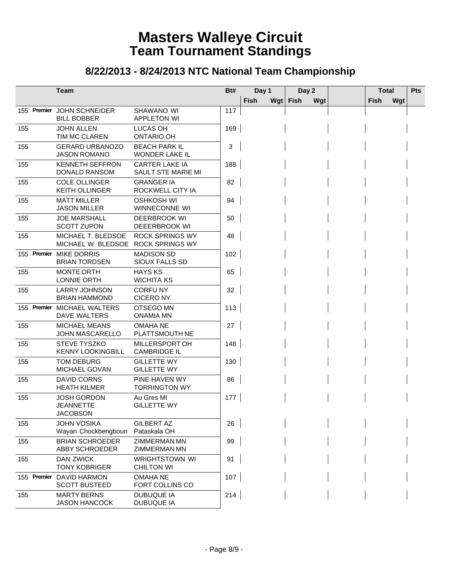|             | <b>Team</b>                                               |                                                  | Bt# | Day 1 |     | Day 2 |     | <b>Total</b> |     | Pts |
|-------------|-----------------------------------------------------------|--------------------------------------------------|-----|-------|-----|-------|-----|--------------|-----|-----|
|             |                                                           |                                                  |     | Fish  | Wgt | Fish  | Wgt | Fish         | Wgt |     |
| 155 Premier | <b>JOHN SCHNEIDER</b><br><b>BILL BOBBER</b>               | SHAWANO WI<br><b>APPLETON WI</b>                 | 117 |       |     |       |     |              |     |     |
| 155         | <b>JOHN ALLEN</b><br>TIM MC CLAREN                        | LUCAS OH<br><b>ONTARIO OH</b>                    | 169 |       |     |       |     |              |     |     |
| 155         | <b>GERARD URBANOZO</b><br><b>JASON ROMANO</b>             | <b>BEACH PARK IL</b><br>WONDER LAKE IL           | 3   |       |     |       |     |              |     |     |
| 155         | <b>KENNETH SEFFRON</b><br>DONALD RANSOM                   | <b>CARTER LAKE IA</b><br>SAULT STE MARIE MI      | 188 |       |     |       |     |              |     |     |
| 155         | <b>COLE OLLINGER</b><br><b>KEITH OLLINGER</b>             | <b>GRANGER IA</b><br>ROCKWELL CITY IA            | 82  |       |     |       |     |              |     |     |
| 155         | <b>MATT MILLER</b><br><b>JASON MILLER</b>                 | <b>OSHKOSH WI</b><br>WINNECONNE WI               | 94  |       |     |       |     |              |     |     |
| 155         | <b>JOE MARSHALL</b><br><b>SCOTT ZUPON</b>                 | DEERBROOK WI<br><b>DEEERBROOK WI</b>             | 50  |       |     |       |     |              |     |     |
| 155         | MICHAEL T. BLEDSOE<br>MICHAEL W. BLEDSOE                  | <b>ROCK SPRINGS WY</b><br><b>ROCK SPRINGS WY</b> | 48  |       |     |       |     |              |     |     |
|             | 155 Premier MIKE DORRIS<br><b>BRIAN TORDSEN</b>           | <b>MADISON SD</b><br>SIOUX FALLS SD              | 102 |       |     |       |     |              |     |     |
| 155         | <b>MONTE ORTH</b><br><b>LONNIE ORTH</b>                   | <b>HAYS KS</b><br><b>WICHITA KS</b>              | 65  |       |     |       |     |              |     |     |
| 155         | <b>LARRY JOHNSON</b><br><b>BRIAN HAMMOND</b>              | <b>CORFUNY</b><br><b>CICERONY</b>                | 32  |       |     |       |     |              |     |     |
| 155 Premier | MICHAEL WALTERS<br>DAVE WALTERS                           | OTSEGO MN<br><b>ONAMIA MN</b>                    | 113 |       |     |       |     |              |     |     |
| 155         | <b>MICHAEL MEANS</b><br><b>JOHN MASCARELLO</b>            | <b>OMAHA NE</b><br>PLATTSMOUTH NE                | 27  |       |     |       |     |              |     |     |
| 155         | <b>STEVE TYSZKO</b><br><b>KENNY LOOKINGBILL</b>           | MILLERSPORT OH<br><b>CAMBRIDGE IL</b>            | 148 |       |     |       |     |              |     |     |
| 155         | <b>TOM DEBURG</b><br>MICHAEL GOVAN                        | <b>GILLETTE WY</b><br><b>GILLETTE WY</b>         | 130 |       |     |       |     |              |     |     |
| 155         | DAVID CORNS<br><b>HEATH KILMER</b>                        | PINE HAVEN WY<br><b>TORRINGTON WY</b>            | 86  |       |     |       |     |              |     |     |
| 155         | <b>JOSH GORDON</b><br><b>JEANNETTE</b><br><b>JACOBSON</b> | Au Gres MI<br><b>GILLETTE WY</b>                 | 177 |       |     |       |     |              |     |     |
| 155         | <b>JOHN VOSIKA</b><br>Wayan Chockbengboun                 | <b>GILBERT AZ</b><br>Pataskala OH                | 26  |       |     |       |     |              |     |     |
| 155         | <b>BRIAN SCHROEDER</b><br>ABBY SCHROEDER                  | ZIMMERMAN MN<br>ZIMMERMAN MN                     | 99  |       |     |       |     |              |     |     |
| 155         | <b>DAN ZWICK</b><br><b>TONY KOBRIGER</b>                  | <b>WRIGHTSTOWN WI</b><br><b>CHILTON WI</b>       | 91  |       |     |       |     |              |     |     |
|             | 155 Premier DAVID HARMON<br><b>SCOTT BUSTEED</b>          | OMAHA NE<br>FORT COLLINS CO                      | 107 |       |     |       |     |              |     |     |
| 155         | <b>MARTY BERNS</b><br><b>JASON HANCOCK</b>                | <b>DUBUQUE IA</b><br><b>DUBUQUE IA</b>           | 214 |       |     |       |     |              |     |     |